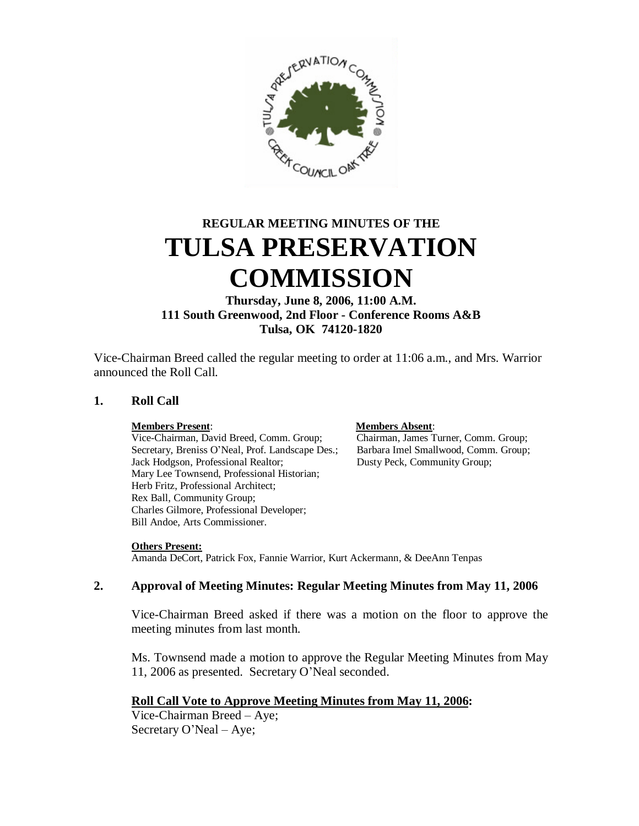

# **REGULAR MEETING MINUTES OF THE TULSA PRESERVATION COMMISSION**

**Thursday, June 8, 2006, 11:00 A.M. 111 South Greenwood, 2nd Floor - Conference Rooms A&B Tulsa, OK 74120-1820**

Vice-Chairman Breed called the regular meeting to order at 11:06 a.m., and Mrs. Warrior announced the Roll Call.

### **1. Roll Call**

Vice-Chairman, David Breed, Comm. Group; Chairman, James Turner, Comm. Group; Secretary, Breniss O'Neal, Prof. Landscape Des.; Barbara Imel Smallwood, Comm. Group; Jack Hodgson, Professional Realtor; Dusty Peck, Community Group; Mary Lee Townsend, Professional Historian; Herb Fritz, Professional Architect; Rex Ball, Community Group; Charles Gilmore, Professional Developer; Bill Andoe, Arts Commissioner.

#### **Members Present**: **Members Absent**:

#### **Others Present:**

Amanda DeCort, Patrick Fox, Fannie Warrior, Kurt Ackermann, & DeeAnn Tenpas

### **2. Approval of Meeting Minutes: Regular Meeting Minutes from May 11, 2006**

Vice-Chairman Breed asked if there was a motion on the floor to approve the meeting minutes from last month.

Ms. Townsend made a motion to approve the Regular Meeting Minutes from May 11, 2006 as presented. Secretary O'Neal seconded.

### **Roll Call Vote to Approve Meeting Minutes from May 11, 2006:**

Vice-Chairman Breed – Aye; Secretary O'Neal –Aye;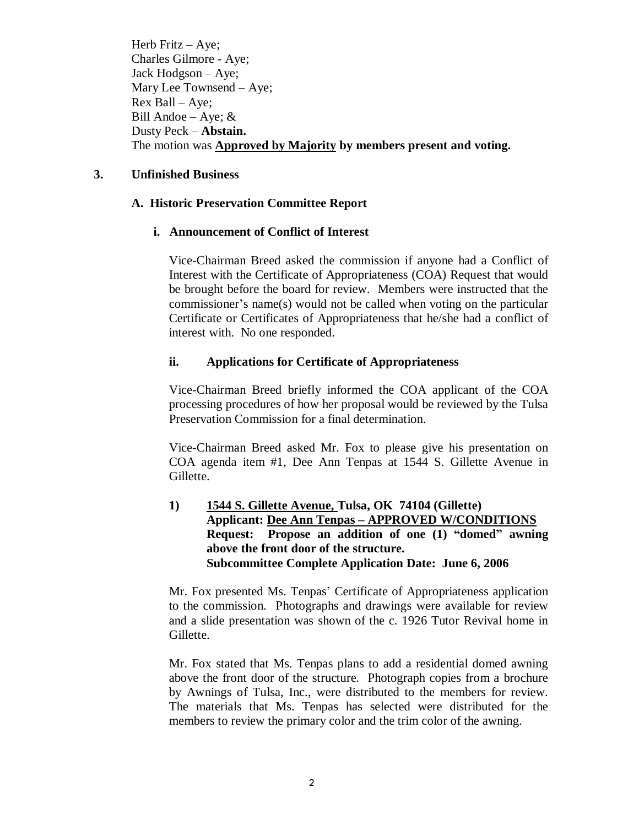Herb Fritz  $-$  Aye; Charles Gilmore - Aye; Jack Hodgson – Aye; Mary Lee Townsend – Aye; Rex Ball –Aye; Bill Andoe – Aye;  $&$ Dusty Peck –**Abstain.** The motion was **Approved by Majority by members present and voting.**

## **3. Unfinished Business**

#### **A. Historic Preservation Committee Report**

## **i. Announcement of Conflict of Interest**

Vice-Chairman Breed asked the commission if anyone had a Conflict of Interest with the Certificate of Appropriateness (COA) Request that would be brought before the board for review. Members were instructed that the commissioner's name(s) would not be called when voting on the particular Certificate or Certificates of Appropriateness that he/she had a conflict of interest with. No one responded.

#### **ii. Applications for Certificate of Appropriateness**

Vice-Chairman Breed briefly informed the COA applicant of the COA processing procedures of how her proposal would be reviewed by the Tulsa Preservation Commission for a final determination.

Vice-Chairman Breed asked Mr. Fox to please give his presentation on COA agenda item #1, Dee Ann Tenpas at 1544 S. Gillette Avenue in Gillette.

**1) 1544 S. Gillette Avenue, Tulsa, OK 74104 (Gillette) Applicant: Dee Ann Tenpas – APPROVED W/CONDITIONS Request: Propose an addition of one (1) "domed" awning above the front door of the structure. Subcommittee Complete Application Date: June 6, 2006**

Mr. Fox presented Ms. Tenpas' Certificate of Appropriateness application to the commission. Photographs and drawings were available for review and a slide presentation was shown of the c. 1926 Tutor Revival home in Gillette.

Mr. Fox stated that Ms. Tenpas plans to add a residential domed awning above the front door of the structure. Photograph copies from a brochure by Awnings of Tulsa, Inc., were distributed to the members for review. The materials that Ms. Tenpas has selected were distributed for the members to review the primary color and the trim color of the awning.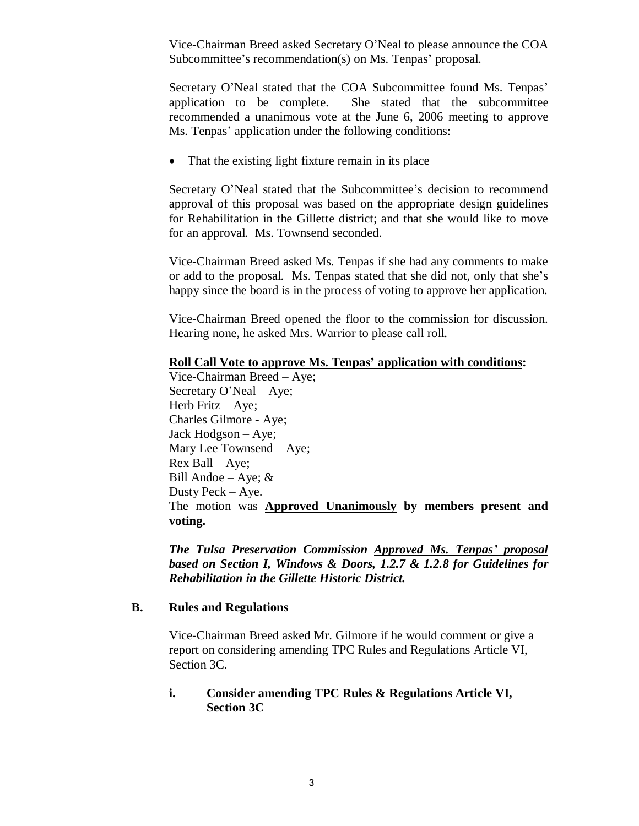Vice-Chairman Breed asked Secretary O'Neal to please announce the COA Subcommittee's recommendation(s) on Ms. Tenpas' proposal.

Secretary O'Neal stated that the COA Subcommittee found Ms. Tenpas' application to be complete. She stated that the subcommittee recommended a unanimous vote at the June 6, 2006 meeting to approve Ms. Tenpas'application under the following conditions:

• That the existing light fixture remain in its place

Secretary O'Neal stated that the Subcommittee's decision to recommend approval of this proposal was based on the appropriate design guidelines for Rehabilitation in the Gillette district; and that she would like to move for an approval. Ms. Townsend seconded.

Vice-Chairman Breed asked Ms. Tenpas if she had any comments to make or add to the proposal. Ms. Tenpas stated that she did not, only that she's happy since the board is in the process of voting to approve her application.

Vice-Chairman Breed opened the floor to the commission for discussion. Hearing none, he asked Mrs. Warrior to please call roll.

### **Roll Call Vote to approve Ms. Tenpas'application with conditions:**

Vice-Chairman Breed – Aye; Secretary O'Neal – Aye; Herb Fritz – Aye; Charles Gilmore - Aye; Jack Hodgson – Aye; Mary Lee Townsend – Aye; Rex Ball – Aye; Bill Andoe – Aye;  $&$ Dusty Peck – Aye. The motion was **Approved Unanimously by members present and voting.**

*The Tulsa Preservation Commission Approved Ms. Tenpas' proposal based on Section I, Windows & Doors, 1.2.7 & 1.2.8 for Guidelines for Rehabilitation in the Gillette Historic District.*

### **B. Rules and Regulations**

Vice-Chairman Breed asked Mr. Gilmore if he would comment or give a report on considering amending TPC Rules and Regulations Article VI, Section 3C.

### **i. Consider amending TPC Rules & Regulations Article VI, Section 3C**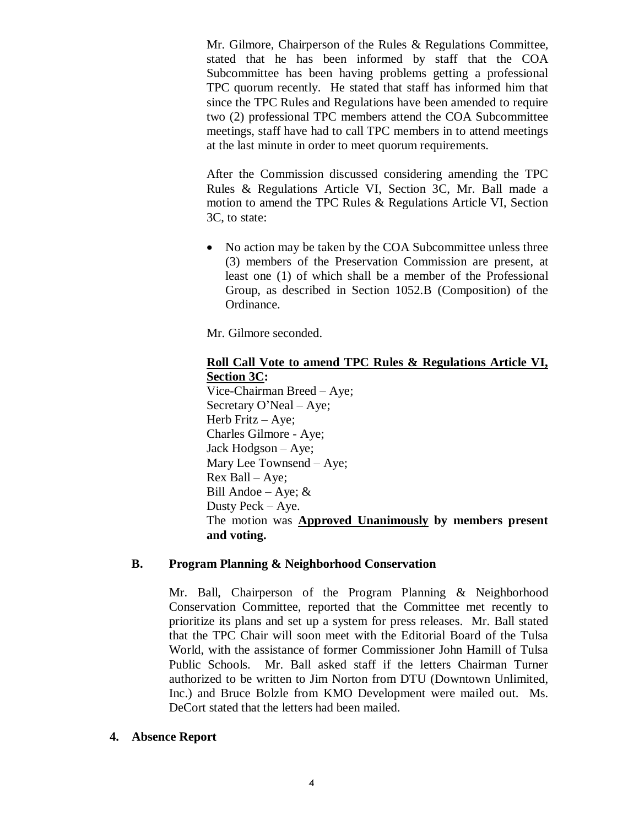Mr. Gilmore, Chairperson of the Rules & Regulations Committee, stated that he has been informed by staff that the COA Subcommittee has been having problems getting a professional TPC quorum recently. He stated that staff has informed him that since the TPC Rules and Regulations have been amended to require two (2) professional TPC members attend the COA Subcommittee meetings, staff have had to call TPC members in to attend meetings at the last minute in order to meet quorum requirements.

After the Commission discussed considering amending the TPC Rules & Regulations Article VI, Section 3C, Mr. Ball made a motion to amend the TPC Rules & Regulations Article VI, Section 3C, to state:

• No action may be taken by the COA Subcommittee unless three (3) members of the Preservation Commission are present, at least one (1) of which shall be a member of the Professional Group, as described in Section 1052.B (Composition) of the Ordinance.

Mr. Gilmore seconded.

#### **Roll Call Vote to amend TPC Rules & Regulations Article VI, Section 3C:**

Vice-Chairman Breed – Aye; Secretary O'Neal – Aye; Herb Fritz – Aye; Charles Gilmore - Aye; Jack Hodgson – Aye; Mary Lee Townsend – Aye; Rex Ball – Aye; Bill Andoe – Aye;  $&$ Dusty Peck – Aye. The motion was **Approved Unanimously by members present and voting.**

# **B. Program Planning & Neighborhood Conservation**

Mr. Ball, Chairperson of the Program Planning & Neighborhood Conservation Committee, reported that the Committee met recently to prioritize its plans and set up a system for press releases. Mr. Ball stated that the TPC Chair will soon meet with the Editorial Board of the Tulsa World, with the assistance of former Commissioner John Hamill of Tulsa Public Schools. Mr. Ball asked staff if the letters Chairman Turner authorized to be written to Jim Norton from DTU (Downtown Unlimited, Inc.) and Bruce Bolzle from KMO Development were mailed out. Ms. DeCort stated that the letters had been mailed.

#### **4. Absence Report**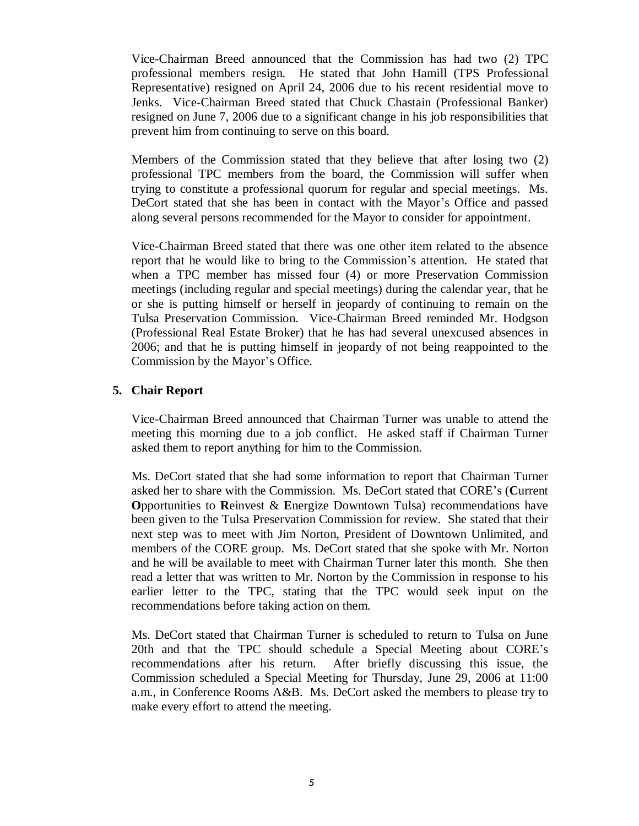Vice-Chairman Breed announced that the Commission has had two (2) TPC professional members resign. He stated that John Hamill (TPS Professional Representative) resigned on April 24, 2006 due to his recent residential move to Jenks. Vice-Chairman Breed stated that Chuck Chastain (Professional Banker) resigned on June 7, 2006 due to a significant change in his job responsibilities that prevent him from continuing to serve on this board.

Members of the Commission stated that they believe that after losing two (2) professional TPC members from the board, the Commission will suffer when trying to constitute a professional quorum for regular and special meetings. Ms. DeCort stated that she has been in contact with the Mayor's Office and passed along several persons recommended for the Mayor to consider for appointment.

Vice-Chairman Breed stated that there was one other item related to the absence report that he would like to bring to the Commission's attention. He stated that when a TPC member has missed four (4) or more Preservation Commission meetings (including regular and special meetings) during the calendar year, that he or she is putting himself or herself in jeopardy of continuing to remain on the Tulsa Preservation Commission. Vice-Chairman Breed reminded Mr. Hodgson (Professional Real Estate Broker) that he has had several unexcused absences in 2006; and that he is putting himself in jeopardy of not being reappointed to the Commission by the Mayor's Office.

### **5. Chair Report**

Vice-Chairman Breed announced that Chairman Turner was unable to attend the meeting this morning due to a job conflict. He asked staff if Chairman Turner asked them to report anything for him to the Commission.

Ms. DeCort stated that she had some information to report that Chairman Turner asked her to share with the Commission. Ms. DeCort stated that CORE's (**C**urrent **O**pportunities to **R**einvest & **E**nergize Downtown Tulsa) recommendations have been given to the Tulsa Preservation Commission for review. She stated that their next step was to meet with Jim Norton, President of Downtown Unlimited, and members of the CORE group. Ms. DeCort stated that she spoke with Mr. Norton and he will be available to meet with Chairman Turner later this month. She then read a letter that was written to Mr. Norton by the Commission in response to his earlier letter to the TPC, stating that the TPC would seek input on the recommendations before taking action on them.

Ms. DeCort stated that Chairman Turner is scheduled to return to Tulsa on June 20th and that the TPC should schedule a Special Meeting about CORE's recommendations after his return. After briefly discussing this issue, the Commission scheduled a Special Meeting for Thursday, June 29, 2006 at 11:00 a.m., in Conference Rooms A&B. Ms. DeCort asked the members to please try to make every effort to attend the meeting.